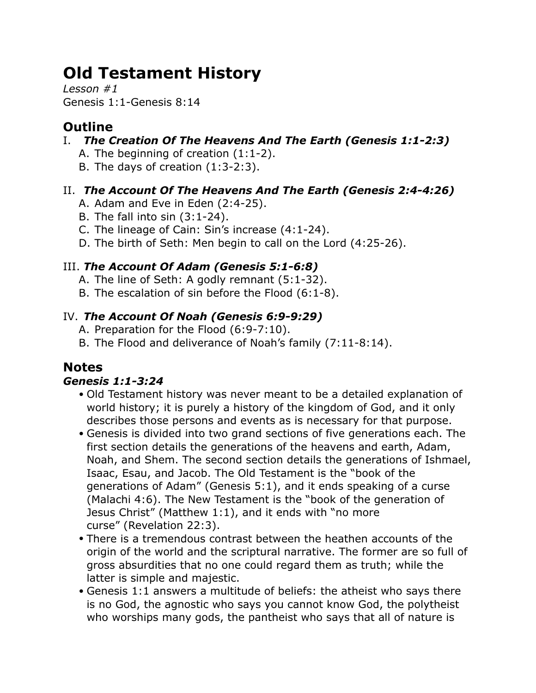# **Old Testament History**

*Lesson #1* Genesis 1:1-Genesis 8:14

# **Outline**

- I. *The Creation Of The Heavens And The Earth (Genesis 1:1-2:3)*
	- A. The beginning of creation (1:1-2).
	- B. The days of creation (1:3-2:3).

# II. *The Account Of The Heavens And The Earth (Genesis 2:4-4:26)*

- A. Adam and Eve in Eden (2:4-25).
- B. The fall into sin (3:1-24).
- C. The lineage of Cain: Sin's increase (4:1-24).
- D. The birth of Seth: Men begin to call on the Lord (4:25-26).

# III. *The Account Of Adam (Genesis 5:1-6:8)*

- A. The line of Seth: A godly remnant (5:1-32).
- B. The escalation of sin before the Flood (6:1-8).

## IV. *The Account Of Noah (Genesis 6:9-9:29)*

- A. Preparation for the Flood (6:9-7:10).
- B. The Flood and deliverance of Noah's family (7:11-8:14).

# **Notes**

## *Genesis 1:1-3:24*

- Old Testament history was never meant to be a detailed explanation of world history; it is purely a history of the kingdom of God, and it only describes those persons and events as is necessary for that purpose.
- Genesis is divided into two grand sections of five generations each. The first section details the generations of the heavens and earth, Adam, Noah, and Shem. The second section details the generations of Ishmael, Isaac, Esau, and Jacob. The Old Testament is the "book of the generations of Adam" (Genesis 5:1), and it ends speaking of a curse (Malachi 4:6). The New Testament is the "book of the generation of Jesus Christ" (Matthew 1:1), and it ends with "no more curse" (Revelation 22:3).
- There is a tremendous contrast between the heathen accounts of the origin of the world and the scriptural narrative. The former are so full of gross absurdities that no one could regard them as truth; while the latter is simple and majestic.
- Genesis 1:1 answers a multitude of beliefs: the atheist who says there is no God, the agnostic who says you cannot know God, the polytheist who worships many gods, the pantheist who says that all of nature is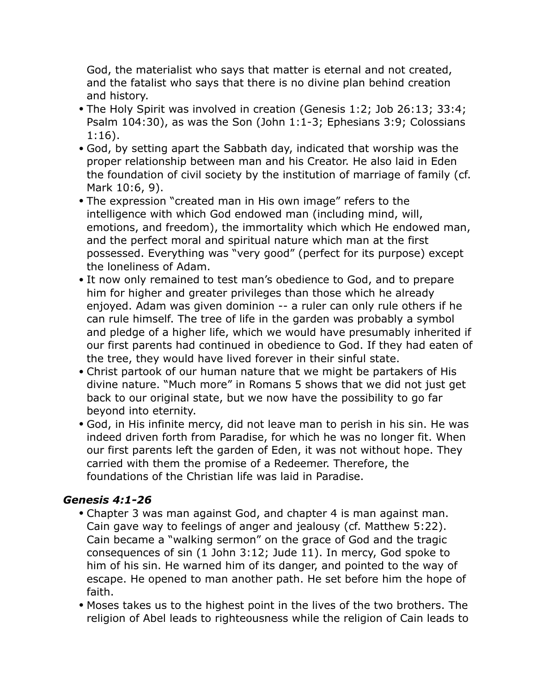God, the materialist who says that matter is eternal and not created, and the fatalist who says that there is no divine plan behind creation and history.

- The Holy Spirit was involved in creation (Genesis 1:2; Job 26:13; 33:4; Psalm 104:30), as was the Son (John 1:1-3; Ephesians 3:9; Colossians 1:16).
- God, by setting apart the Sabbath day, indicated that worship was the proper relationship between man and his Creator. He also laid in Eden the foundation of civil society by the institution of marriage of family (cf. Mark 10:6, 9).
- The expression "created man in His own image" refers to the intelligence with which God endowed man (including mind, will, emotions, and freedom), the immortality which which He endowed man, and the perfect moral and spiritual nature which man at the first possessed. Everything was "very good" (perfect for its purpose) except the loneliness of Adam.
- It now only remained to test man's obedience to God, and to prepare him for higher and greater privileges than those which he already enjoyed. Adam was given dominion -- a ruler can only rule others if he can rule himself. The tree of life in the garden was probably a symbol and pledge of a higher life, which we would have presumably inherited if our first parents had continued in obedience to God. If they had eaten of the tree, they would have lived forever in their sinful state.
- Christ partook of our human nature that we might be partakers of His divine nature. "Much more" in Romans 5 shows that we did not just get back to our original state, but we now have the possibility to go far beyond into eternity.
- God, in His infinite mercy, did not leave man to perish in his sin. He was indeed driven forth from Paradise, for which he was no longer fit. When our first parents left the garden of Eden, it was not without hope. They carried with them the promise of a Redeemer. Therefore, the foundations of the Christian life was laid in Paradise.

### *Genesis 4:1-26*

- Chapter 3 was man against God, and chapter 4 is man against man. Cain gave way to feelings of anger and jealousy (cf. Matthew 5:22). Cain became a "walking sermon" on the grace of God and the tragic consequences of sin (1 John 3:12; Jude 11). In mercy, God spoke to him of his sin. He warned him of its danger, and pointed to the way of escape. He opened to man another path. He set before him the hope of faith.
- Moses takes us to the highest point in the lives of the two brothers. The religion of Abel leads to righteousness while the religion of Cain leads to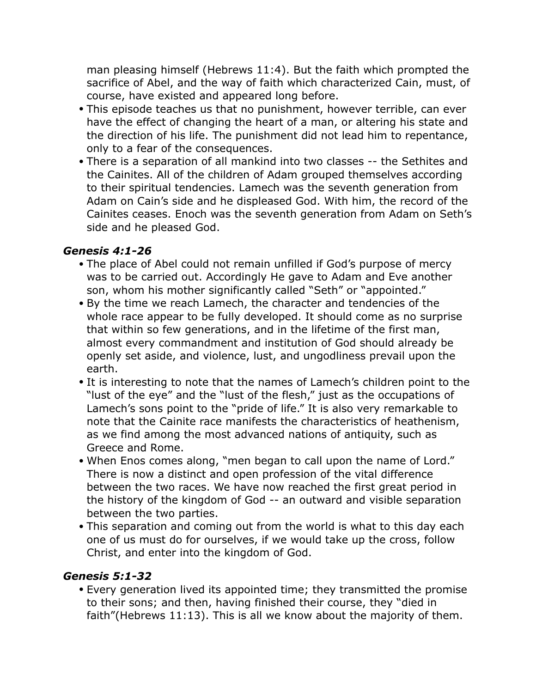man pleasing himself (Hebrews 11:4). But the faith which prompted the sacrifice of Abel, and the way of faith which characterized Cain, must, of course, have existed and appeared long before.

- This episode teaches us that no punishment, however terrible, can ever have the effect of changing the heart of a man, or altering his state and the direction of his life. The punishment did not lead him to repentance, only to a fear of the consequences.
- There is a separation of all mankind into two classes -- the Sethites and the Cainites. All of the children of Adam grouped themselves according to their spiritual tendencies. Lamech was the seventh generation from Adam on Cain's side and he displeased God. With him, the record of the Cainites ceases. Enoch was the seventh generation from Adam on Seth's side and he pleased God.

#### *Genesis 4:1-26*

- The place of Abel could not remain unfilled if God's purpose of mercy was to be carried out. Accordingly He gave to Adam and Eve another son, whom his mother significantly called "Seth" or "appointed."
- By the time we reach Lamech, the character and tendencies of the whole race appear to be fully developed. It should come as no surprise that within so few generations, and in the lifetime of the first man, almost every commandment and institution of God should already be openly set aside, and violence, lust, and ungodliness prevail upon the earth.
- It is interesting to note that the names of Lamech's children point to the "lust of the eye" and the "lust of the flesh," just as the occupations of Lamech's sons point to the "pride of life." It is also very remarkable to note that the Cainite race manifests the characteristics of heathenism, as we find among the most advanced nations of antiquity, such as Greece and Rome.
- When Enos comes along, "men began to call upon the name of Lord." There is now a distinct and open profession of the vital difference between the two races. We have now reached the first great period in the history of the kingdom of God -- an outward and visible separation between the two parties.
- This separation and coming out from the world is what to this day each one of us must do for ourselves, if we would take up the cross, follow Christ, and enter into the kingdom of God.

### *Genesis 5:1-32*

• Every generation lived its appointed time; they transmitted the promise to their sons; and then, having finished their course, they "died in faith"(Hebrews 11:13). This is all we know about the majority of them.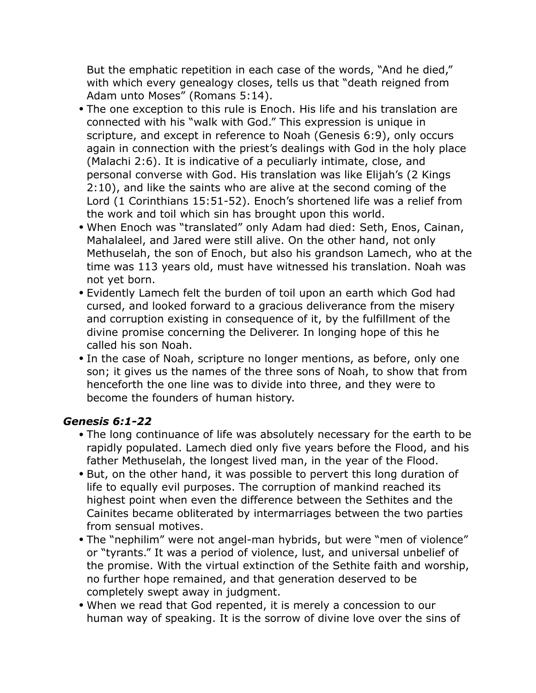But the emphatic repetition in each case of the words, "And he died," with which every genealogy closes, tells us that "death reigned from Adam unto Moses" (Romans 5:14).

- The one exception to this rule is Enoch. His life and his translation are connected with his "walk with God." This expression is unique in scripture, and except in reference to Noah (Genesis 6:9), only occurs again in connection with the priest's dealings with God in the holy place (Malachi 2:6). It is indicative of a peculiarly intimate, close, and personal converse with God. His translation was like Elijah's (2 Kings 2:10), and like the saints who are alive at the second coming of the Lord (1 Corinthians 15:51-52). Enoch's shortened life was a relief from the work and toil which sin has brought upon this world.
- When Enoch was "translated" only Adam had died: Seth, Enos, Cainan, Mahalaleel, and Jared were still alive. On the other hand, not only Methuselah, the son of Enoch, but also his grandson Lamech, who at the time was 113 years old, must have witnessed his translation. Noah was not yet born.
- Evidently Lamech felt the burden of toil upon an earth which God had cursed, and looked forward to a gracious deliverance from the misery and corruption existing in consequence of it, by the fulfillment of the divine promise concerning the Deliverer. In longing hope of this he called his son Noah.
- In the case of Noah, scripture no longer mentions, as before, only one son; it gives us the names of the three sons of Noah, to show that from henceforth the one line was to divide into three, and they were to become the founders of human history.

#### *Genesis 6:1-22*

- The long continuance of life was absolutely necessary for the earth to be rapidly populated. Lamech died only five years before the Flood, and his father Methuselah, the longest lived man, in the year of the Flood.
- But, on the other hand, it was possible to pervert this long duration of life to equally evil purposes. The corruption of mankind reached its highest point when even the difference between the Sethites and the Cainites became obliterated by intermarriages between the two parties from sensual motives.
- The "nephilim" were not angel-man hybrids, but were "men of violence" or "tyrants." It was a period of violence, lust, and universal unbelief of the promise. With the virtual extinction of the Sethite faith and worship, no further hope remained, and that generation deserved to be completely swept away in judgment.
- When we read that God repented, it is merely a concession to our human way of speaking. It is the sorrow of divine love over the sins of